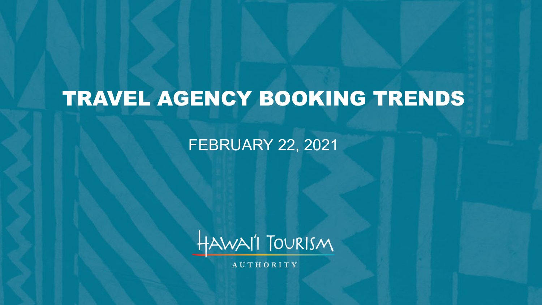# TRAVEL AGENCY BOOKING TRENDS

### FEBRUARY 22, 2021



AUTHORITY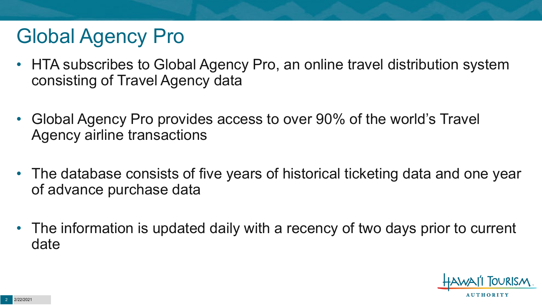# Global Agency Pro

- HTA subscribes to Global Agency Pro, an online travel distribution system consisting of Travel Agency data
- Global Agency Pro provides access to over 90% of the world's Travel Agency airline transactions
- The database consists of five years of historical ticketing data and one year of advance purchase data
- The information is updated daily with a recency of two days prior to current date

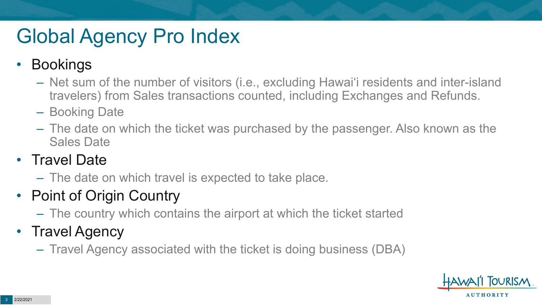# Global Agency Pro Index

### • Bookings

- Net sum of the number of visitors (i.e., excluding Hawai'i residents and inter-island travelers) from Sales transactions counted, including Exchanges and Refunds.
- Booking Date
- The date on which the ticket was purchased by the passenger. Also known as the Sales Date

### • Travel Date

– The date on which travel is expected to take place.

## • Point of Origin Country

– The country which contains the airport at which the ticket started

## • Travel Agency

– Travel Agency associated with the ticket is doing business (DBA)

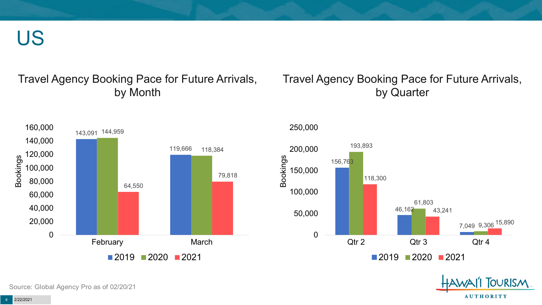US

#### Travel Agency Booking Pace for Future Arrivals, by Month

#### Travel Agency Booking Pace for Future Arrivals, by Quarter





250,000



Source: Global Agency Pro as of 02/20/21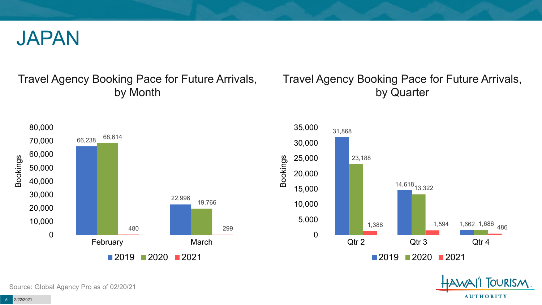

#### Travel Agency Booking Pace for Future Arrivals, by Month

### Travel Agency Booking Pace for Future Arrivals, by Quarter







Source: Global Agency Pro as of 02/20/21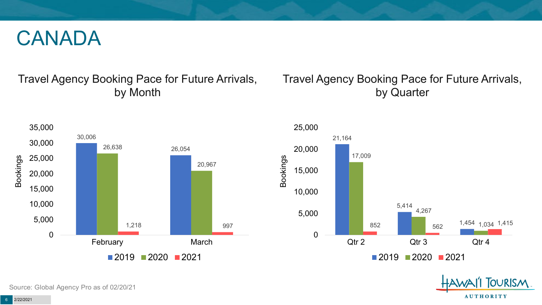## CANADA

### Travel Agency Booking Pace for Future Arrivals, by Month

### Travel Agency Booking Pace for Future Arrivals, by Quarter





**FOURISM** 

**AUTHORITY** 

Source: Global Agency Pro as of 02/20/21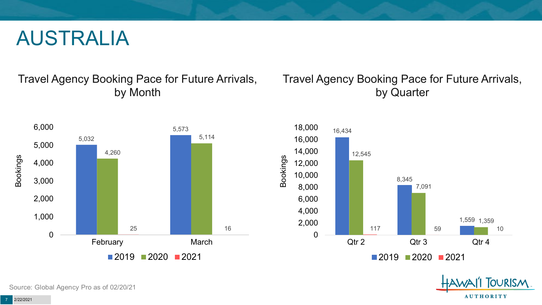## AUSTRALIA

Travel Agency Booking Pace for Future Arrivals, by Month



### Travel Agency Booking Pace for Future Arrivals, by Quarter





Source: Global Agency Pro as of 02/20/21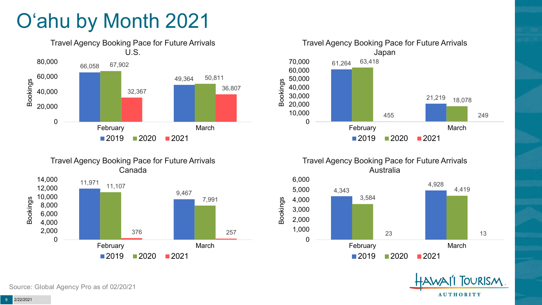# O'ahu by Month 2021











February March

 $2019$  2020 2021

0

**OURISM AUTHORITY** 

23 13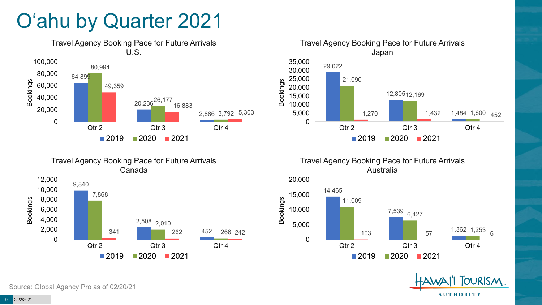# O'ahu by Quarter 2021







Travel Agency Booking Pace for Future Arrivals Australia





Source: Global Agency Pro as of 02/20/21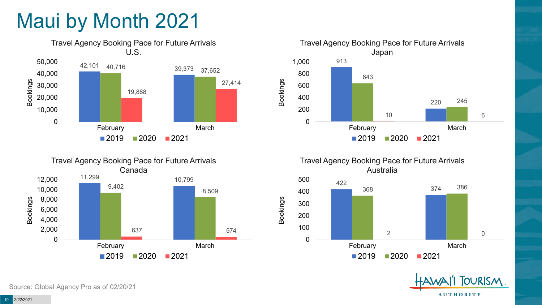# Maui by Month 2021











Source: Global Agency Pro as of 02/20/21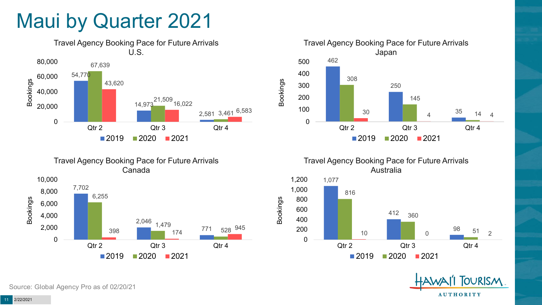## Maui by Quarter 2021







Travel Agency Booking Pace for Future Arrivals Australia



Bookings



Source: Global Agency Pro as of 02/20/21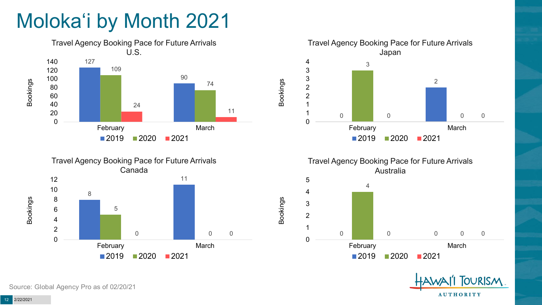# Moloka'i by Month 2021











Bookings

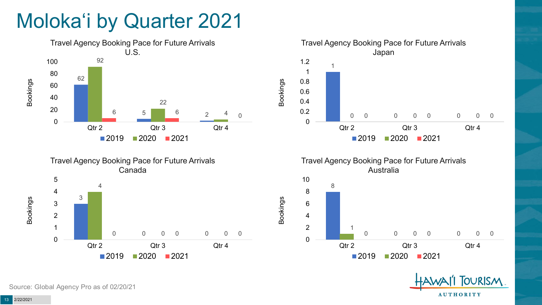# Moloka'i by Quarter 2021









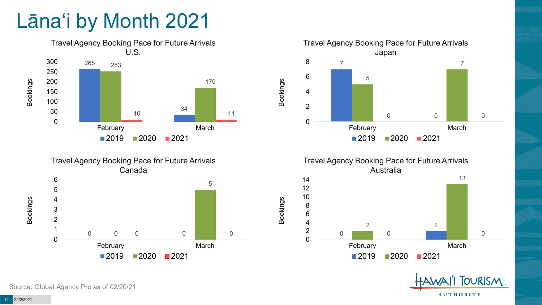# Lāna'i by Month 2021









Bookings



Source: Global Agency Pro as of 02/20/21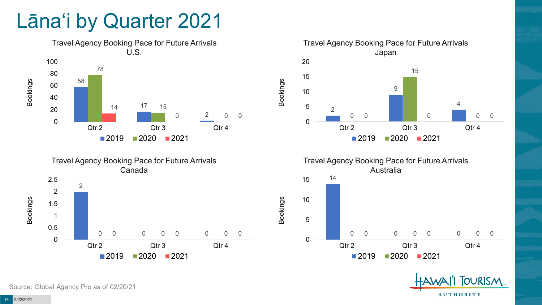## Lāna'i by Quarter 2021











Source: Global Agency Pro as of 02/20/21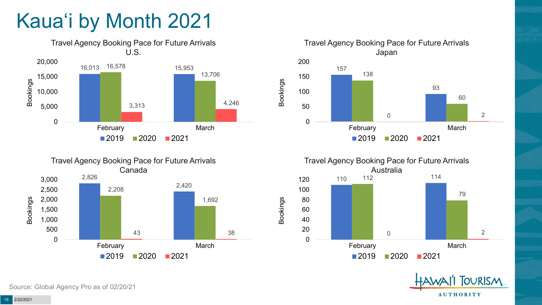# Kaua'i by Month 2021











Source: Global Agency Pro as of 02/20/21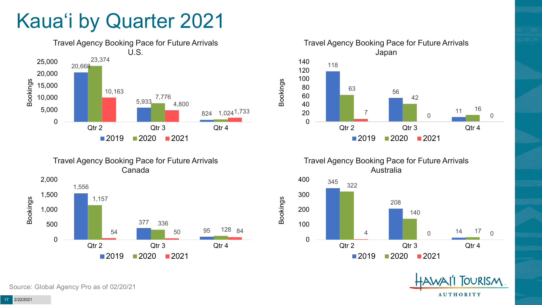# Kaua'i by Quarter 2021







Travel Agency Booking Pace for Future Arrivals Australia

Bookings





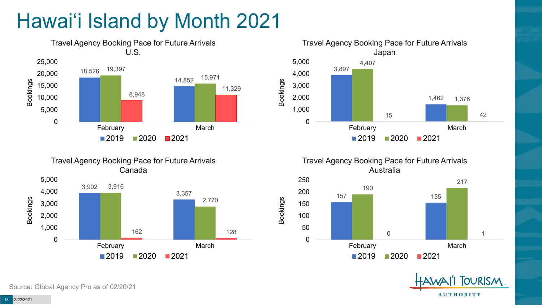# Hawai'i Island by Month 2021







Travel Agency Booking Pace for Future Arrivals Australia

Bookings